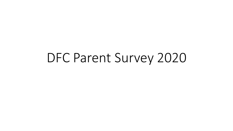# DFC Parent Survey 2020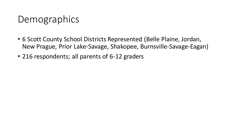# **Demographics**

- 6 Scott County School Districts Represented (Belle Plaine, Jordan, New Prague, Prior Lake-Savage, Shakopee, Burnsville-Savage-Eagan)
- 216 respondents; all parents of 6-12 graders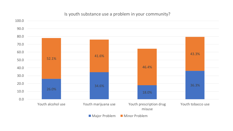#### Is youth substance use a problem in your community?



Major Problem Minor Problem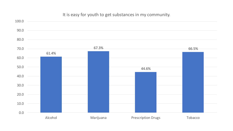#### It is easy for youth to get substances in my community.

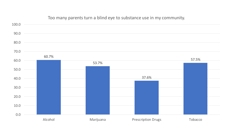

#### Too many parents turn a blind eye to substance use in my community.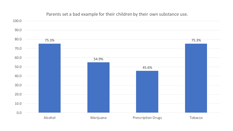

#### Parents set a bad example for their children by their own substance use.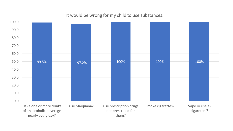#### It would be wrong for my child to use substances.

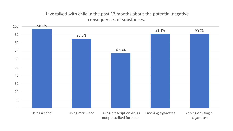## Have talked with child in the past 12 months about the potential negative consequences of substances.

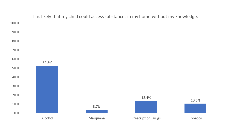

#### It is likely that my child could access substances in my home without my knowledge.